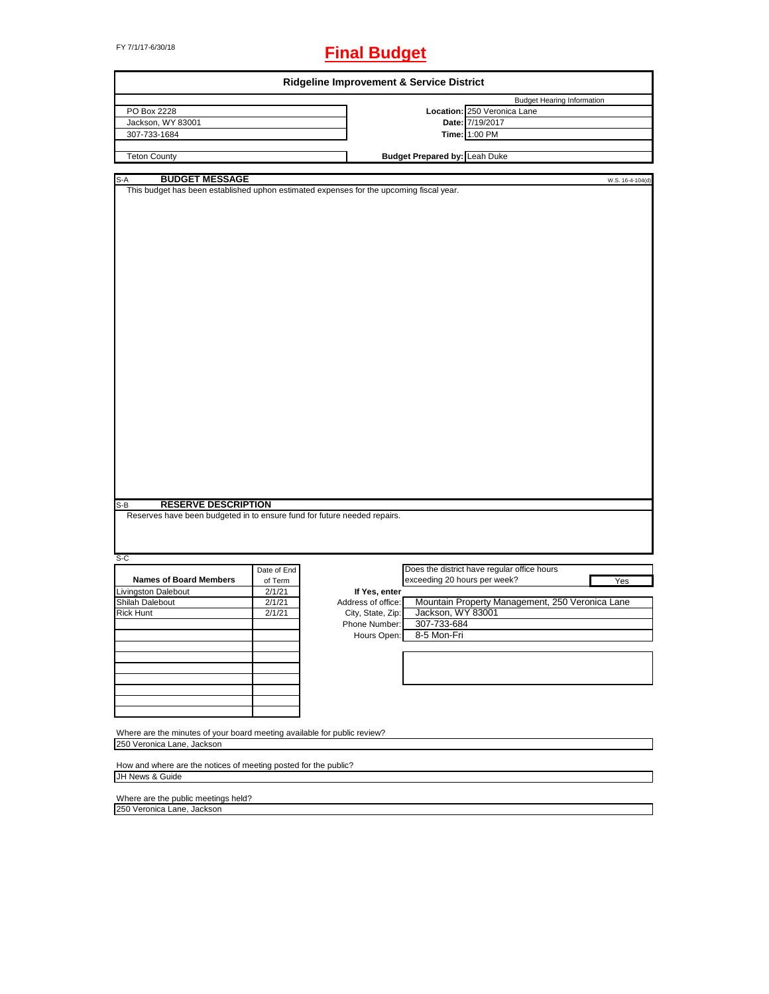# FY 7/1/17-6/30/18 **Final Budget**

| Ridgeline Improvement & Service District                                                                                  |             |                    |                                      |                                                 |                  |
|---------------------------------------------------------------------------------------------------------------------------|-------------|--------------------|--------------------------------------|-------------------------------------------------|------------------|
|                                                                                                                           |             |                    |                                      | <b>Budget Hearing Information</b>               |                  |
| PO Box 2228                                                                                                               |             |                    |                                      | Location: 250 Veronica Lane                     |                  |
| Jackson, WY 83001                                                                                                         |             |                    |                                      | Date: 7/19/2017                                 |                  |
| 307-733-1684                                                                                                              |             |                    |                                      | Time: 1:00 PM                                   |                  |
|                                                                                                                           |             |                    |                                      |                                                 |                  |
| <b>Teton County</b>                                                                                                       |             |                    | <b>Budget Prepared by: Leah Duke</b> |                                                 |                  |
|                                                                                                                           |             |                    |                                      |                                                 |                  |
| <b>BUDGET MESSAGE</b><br>$S-A$<br>This budget has been established uphon estimated expenses for the upcoming fiscal year. |             |                    |                                      |                                                 | W.S. 16-4-104(d) |
|                                                                                                                           |             |                    |                                      |                                                 |                  |
|                                                                                                                           |             |                    |                                      |                                                 |                  |
|                                                                                                                           |             |                    |                                      |                                                 |                  |
|                                                                                                                           |             |                    |                                      |                                                 |                  |
|                                                                                                                           |             |                    |                                      |                                                 |                  |
|                                                                                                                           |             |                    |                                      |                                                 |                  |
|                                                                                                                           |             |                    |                                      |                                                 |                  |
|                                                                                                                           |             |                    |                                      |                                                 |                  |
|                                                                                                                           |             |                    |                                      |                                                 |                  |
|                                                                                                                           |             |                    |                                      |                                                 |                  |
|                                                                                                                           |             |                    |                                      |                                                 |                  |
|                                                                                                                           |             |                    |                                      |                                                 |                  |
|                                                                                                                           |             |                    |                                      |                                                 |                  |
|                                                                                                                           |             |                    |                                      |                                                 |                  |
|                                                                                                                           |             |                    |                                      |                                                 |                  |
|                                                                                                                           |             |                    |                                      |                                                 |                  |
|                                                                                                                           |             |                    |                                      |                                                 |                  |
|                                                                                                                           |             |                    |                                      |                                                 |                  |
|                                                                                                                           |             |                    |                                      |                                                 |                  |
|                                                                                                                           |             |                    |                                      |                                                 |                  |
|                                                                                                                           |             |                    |                                      |                                                 |                  |
|                                                                                                                           |             |                    |                                      |                                                 |                  |
|                                                                                                                           |             |                    |                                      |                                                 |                  |
|                                                                                                                           |             |                    |                                      |                                                 |                  |
|                                                                                                                           |             |                    |                                      |                                                 |                  |
|                                                                                                                           |             |                    |                                      |                                                 |                  |
|                                                                                                                           |             |                    |                                      |                                                 |                  |
|                                                                                                                           |             |                    |                                      |                                                 |                  |
|                                                                                                                           |             |                    |                                      |                                                 |                  |
| <b>RESERVE DESCRIPTION</b><br>S-B                                                                                         |             |                    |                                      |                                                 |                  |
| Reserves have been budgeted in to ensure fund for future needed repairs.                                                  |             |                    |                                      |                                                 |                  |
|                                                                                                                           |             |                    |                                      |                                                 |                  |
|                                                                                                                           |             |                    |                                      |                                                 |                  |
|                                                                                                                           |             |                    |                                      |                                                 |                  |
| $S-C$                                                                                                                     |             |                    |                                      |                                                 |                  |
|                                                                                                                           | Date of End |                    |                                      | Does the district have regular office hours     |                  |
| <b>Names of Board Members</b>                                                                                             | of Term     |                    | exceeding 20 hours per week?         |                                                 | Yes              |
| <b>Livingston Dalebout</b>                                                                                                | 2/1/21      | If Yes, enter      |                                      |                                                 |                  |
| Shilah Dalebout                                                                                                           | 2/1/21      | Address of office: |                                      | Mountain Property Management, 250 Veronica Lane |                  |
| <b>Rick Hunt</b>                                                                                                          | 2/1/21      | City, State, Zip:  | Jackson, WY 83001                    |                                                 |                  |
|                                                                                                                           |             | Phone Number:      | 307-733-684                          |                                                 |                  |
|                                                                                                                           |             |                    |                                      |                                                 |                  |
|                                                                                                                           |             |                    | Hours Open: 8-5 Mon-Fri              |                                                 |                  |
|                                                                                                                           |             |                    |                                      |                                                 |                  |
|                                                                                                                           |             |                    |                                      |                                                 |                  |
|                                                                                                                           |             |                    |                                      |                                                 |                  |
|                                                                                                                           |             |                    |                                      |                                                 |                  |
|                                                                                                                           |             |                    |                                      |                                                 |                  |
|                                                                                                                           |             |                    |                                      |                                                 |                  |
|                                                                                                                           |             |                    |                                      |                                                 |                  |
|                                                                                                                           |             |                    |                                      |                                                 |                  |
| Where are the minutes of your board meeting available for public review?                                                  |             |                    |                                      |                                                 |                  |
| 250 Veronica Lane, Jackson                                                                                                |             |                    |                                      |                                                 |                  |
|                                                                                                                           |             |                    |                                      |                                                 |                  |
| How and where are the notices of meeting posted for the public?                                                           |             |                    |                                      |                                                 |                  |
| JH News & Guide                                                                                                           |             |                    |                                      |                                                 |                  |
|                                                                                                                           |             |                    |                                      |                                                 |                  |

Where are the public meetings held? 250 Veronica Lane, Jackson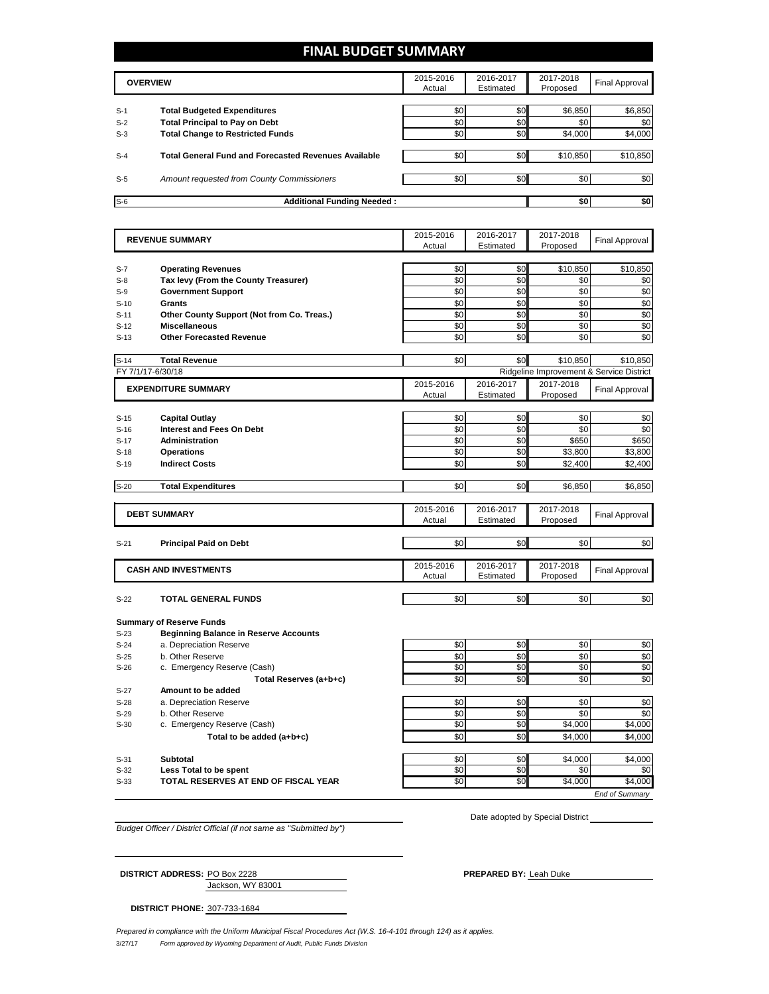# **FINAL BUDGET SUMMARY**

|       | <b>OVERVIEW</b>                                             | 2015-2016<br>Actual | 2016-2017<br>Estimated | 2017-2018<br>Proposed | Final Approval |
|-------|-------------------------------------------------------------|---------------------|------------------------|-----------------------|----------------|
| $S-1$ | <b>Total Budgeted Expenditures</b>                          | \$0                 | \$0                    | \$6,850               | \$6,850        |
| $S-2$ | <b>Total Principal to Pay on Debt</b>                       | \$0                 | \$0                    | \$0                   | \$0            |
| $S-3$ | <b>Total Change to Restricted Funds</b>                     | \$0                 | \$0                    | \$4,000               | \$4,000        |
| $S-4$ | <b>Total General Fund and Forecasted Revenues Available</b> | \$0                 | \$0                    | \$10.850              | \$10,850       |
| $S-5$ | Amount requested from County Commissioners                  | \$0                 | \$0 <sub>1</sub>       | \$0                   | \$0            |
| $S-6$ | <b>Additional Funding Needed:</b>                           |                     |                        | \$0                   | \$0            |

|                   | <b>REVENUE SUMMARY</b>                                                          | 2015-2016  | 2016-2017  | 2017-2018      | <b>Final Approval</b>                    |
|-------------------|---------------------------------------------------------------------------------|------------|------------|----------------|------------------------------------------|
|                   |                                                                                 | Actual     | Estimated  | Proposed       |                                          |
|                   |                                                                                 |            |            |                |                                          |
| $S-7$             | <b>Operating Revenues</b>                                                       | \$0        | \$0        | \$10,850       | \$10,850                                 |
| $S-8$             | Tax levy (From the County Treasurer)                                            | \$0        | \$0        | \$0            | \$0                                      |
| $S-9$             | <b>Government Support</b>                                                       | \$0        | \$0        | \$0            | \$0                                      |
| $S-10$            | <b>Grants</b>                                                                   | \$0        | \$0        | \$0            | \$0                                      |
| $S-11$            | Other County Support (Not from Co. Treas.)                                      | \$0        | \$0        | \$0            | \$0                                      |
| $S-12$            | <b>Miscellaneous</b>                                                            | \$0        | \$0        | \$0            | \$0                                      |
| $S-13$            | <b>Other Forecasted Revenue</b>                                                 | \$0        | \$0        | \$0            | \$0                                      |
| $S-14$            | <b>Total Revenue</b>                                                            | \$0        | \$0        | \$10,850       | \$10,850                                 |
| FY 7/1/17-6/30/18 |                                                                                 |            |            |                | Ridgeline Improvement & Service District |
|                   |                                                                                 | 2015-2016  | 2016-2017  | 2017-2018      |                                          |
|                   | <b>EXPENDITURE SUMMARY</b>                                                      | Actual     | Estimated  | Proposed       | Final Approval                           |
|                   |                                                                                 |            |            |                |                                          |
| $S-15$            | <b>Capital Outlay</b>                                                           | \$0        | \$0        | \$0            | \$0                                      |
| $S-16$            | Interest and Fees On Debt                                                       | \$0        | \$0        | \$0            | \$0                                      |
| $S-17$            | <b>Administration</b>                                                           | \$0        | \$0        | \$650          | \$650                                    |
| $S-18$            | <b>Operations</b>                                                               | \$0        | \$0        | \$3,800        | \$3,800                                  |
| $S-19$            | <b>Indirect Costs</b>                                                           | \$0        | \$0        | \$2,400        | \$2,400                                  |
|                   |                                                                                 |            |            |                |                                          |
| $S-20$            | <b>Total Expenditures</b>                                                       | \$0        | \$0        | \$6,850        | \$6,850                                  |
|                   |                                                                                 |            |            |                |                                          |
|                   | <b>DEBT SUMMARY</b>                                                             | 2015-2016  | 2016-2017  | 2017-2018      | <b>Final Approval</b>                    |
|                   |                                                                                 | Actual     | Estimated  | Proposed       |                                          |
| $S-21$            | <b>Principal Paid on Debt</b>                                                   | \$0        | \$0        | \$0            | \$0                                      |
|                   |                                                                                 |            |            |                |                                          |
|                   |                                                                                 | 2015-2016  | 2016-2017  | 2017-2018      |                                          |
|                   | <b>CASH AND INVESTMENTS</b>                                                     | Actual     | Estimated  | Proposed       | <b>Final Approval</b>                    |
|                   |                                                                                 |            |            |                |                                          |
| $S-22$            | <b>TOTAL GENERAL FUNDS</b>                                                      | \$0        | \$0        | \$0            | \$0                                      |
|                   |                                                                                 |            |            |                |                                          |
| $S-23$            | <b>Summary of Reserve Funds</b><br><b>Beginning Balance in Reserve Accounts</b> |            |            |                |                                          |
| $S-24$            | a. Depreciation Reserve                                                         | \$0        | \$0        | \$0            | \$0                                      |
| $S-25$            | b. Other Reserve                                                                | \$0        | \$0        | \$0            | \$0                                      |
| $S-26$            | c. Emergency Reserve (Cash)                                                     | \$0        | \$0        | \$0            | \$0                                      |
|                   | Total Reserves (a+b+c)                                                          | \$0        | \$0        | \$0            | \$0                                      |
| $S-27$            | Amount to be added                                                              |            |            |                |                                          |
|                   |                                                                                 |            |            |                |                                          |
| $S-28$            | a. Depreciation Reserve                                                         | \$0<br>\$0 | \$0<br>\$0 | \$0<br>\$0     | \$0<br>\$0                               |
| $S-29$<br>$S-30$  | b. Other Reserve<br>c. Emergency Reserve (Cash)                                 | \$0        | \$0        | \$4,000        | \$4,000                                  |
|                   |                                                                                 | \$0        | \$0        | \$4,000        | \$4,000                                  |
|                   | Total to be added (a+b+c)                                                       |            |            |                |                                          |
|                   |                                                                                 |            |            |                |                                          |
|                   |                                                                                 |            |            |                |                                          |
| $S-31$            | <b>Subtotal</b>                                                                 | \$0        | \$0        | \$4,000        | \$4,000                                  |
| $S-32$<br>$S-33$  | Less Total to be spent<br>TOTAL RESERVES AT END OF FISCAL YEAR                  | \$0<br>\$0 | \$0<br>\$0 | \$0<br>\$4,000 | \$0<br>\$4,000                           |

*Budget Officer / District Official (if not same as "Submitted by")*

Date adopted by Special District

Jackson, WY 83001

**DISTRICT ADDRESS:** PO Box 2228 **PREPARED BY:** Leah Duke

**DISTRICT PHONE:** 307-733-1684

3/27/17 *Form approved by Wyoming Department of Audit, Public Funds Division Prepared in compliance with the Uniform Municipal Fiscal Procedures Act (W.S. 16-4-101 through 124) as it applies.*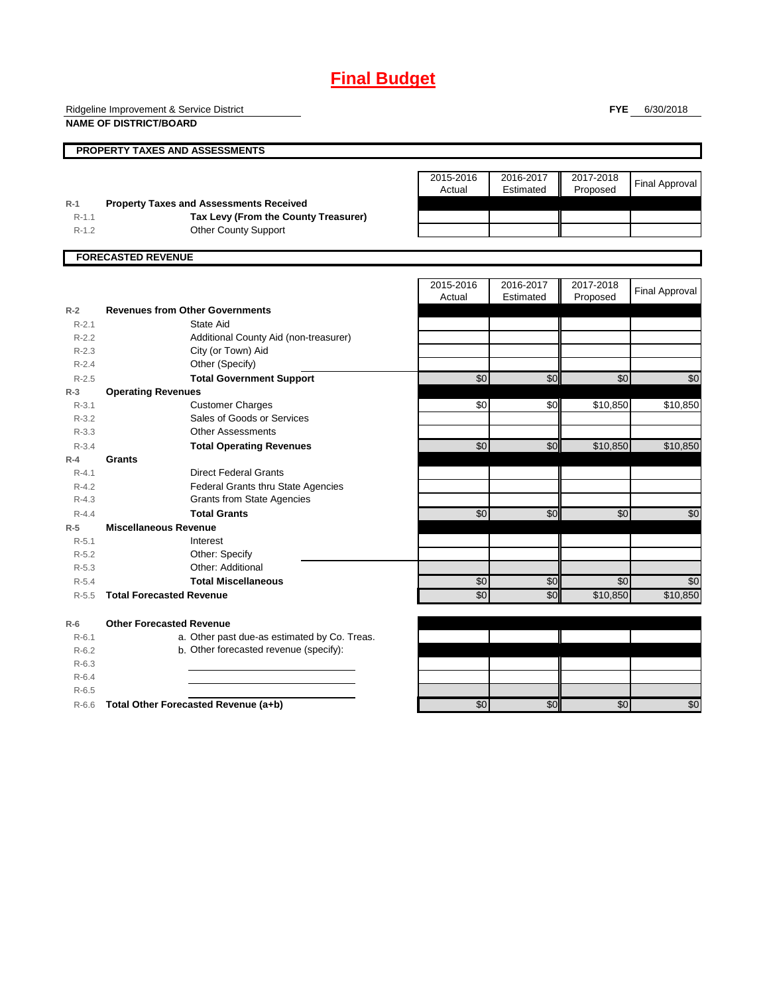# **Final Budget**

Ridgeline Improvement & Service District

**NAME OF DISTRICT/BOARD**

**FYE** 6/30/2018

|           | PROPERTY TAXES AND ASSESSMENTS                 |                     |                        |                       |                       |
|-----------|------------------------------------------------|---------------------|------------------------|-----------------------|-----------------------|
|           |                                                | 2015-2016<br>Actual | 2016-2017<br>Estimated | 2017-2018<br>Proposed | <b>Final Approval</b> |
| $R-1$     | <b>Property Taxes and Assessments Received</b> |                     |                        |                       |                       |
| $R-1.1$   | Tax Levy (From the County Treasurer)           |                     |                        |                       |                       |
| $R-1.2$   | <b>Other County Support</b>                    |                     |                        |                       |                       |
|           | <b>FORECASTED REVENUE</b>                      |                     |                        |                       |                       |
|           |                                                | 2015-2016           | 2016-2017              | 2017-2018             |                       |
|           |                                                | Actual              | Estimated              | Proposed              | <b>Final Approval</b> |
| $R-2$     | <b>Revenues from Other Governments</b>         |                     |                        |                       |                       |
| $R-2.1$   | State Aid                                      |                     |                        |                       |                       |
| $R-2.2$   | Additional County Aid (non-treasurer)          |                     |                        |                       |                       |
| $R - 2.3$ | City (or Town) Aid                             |                     |                        |                       |                       |
| $R-2.4$   | Other (Specify)                                |                     |                        |                       |                       |
| $R-2.5$   | <b>Total Government Support</b>                | \$0                 | \$0                    | \$0                   | \$0                   |
| $R-3$     | <b>Operating Revenues</b>                      |                     |                        |                       |                       |
| $R - 3.1$ | <b>Customer Charges</b>                        | \$0                 | \$0                    | \$10,850              | \$10,850              |
| $R-3.2$   | Sales of Goods or Services                     |                     |                        |                       |                       |
| $R - 3.3$ | <b>Other Assessments</b>                       |                     |                        |                       |                       |
| $R - 3.4$ | <b>Total Operating Revenues</b>                | \$0                 | \$0                    | \$10.850              | \$10,850              |
| $R-4$     | Grants                                         |                     |                        |                       |                       |
| $R - 4.1$ | <b>Direct Federal Grants</b>                   |                     |                        |                       |                       |
| $R - 4.2$ | Federal Grants thru State Agencies             |                     |                        |                       |                       |
| $R - 4.3$ | <b>Grants from State Agencies</b>              |                     |                        |                       |                       |
| $R - 4.4$ | <b>Total Grants</b>                            | \$0                 | \$0                    | \$0                   | \$0                   |
| $R-5$     | <b>Miscellaneous Revenue</b>                   |                     |                        |                       |                       |
| $R - 5.1$ | Interest                                       |                     |                        |                       |                       |
| $R - 5.2$ | Other: Specify                                 |                     |                        |                       |                       |
| $R-5.3$   | Other: Additional                              |                     |                        |                       |                       |
| $R - 5.4$ | <b>Total Miscellaneous</b>                     | \$0                 | \$0                    | \$0                   | \$0                   |
| $R-5.5$   | <b>Total Forecasted Revenue</b>                | \$0                 | \$0                    | \$10,850              | \$10,850              |
| $R-6$     | <b>Other Forecasted Revenue</b>                |                     |                        |                       |                       |
| $R - 6.1$ | a. Other past due-as estimated by Co. Treas.   |                     |                        |                       |                       |
| $R-6.2$   | b. Other forecasted revenue (specify):         |                     |                        |                       |                       |
| $R-6.3$   |                                                |                     |                        |                       |                       |
| $R-6.4$   |                                                |                     |                        |                       |                       |
| $R - 6.5$ |                                                |                     |                        |                       |                       |
| $R-6.6$   | Total Other Forecasted Revenue (a+b)           | \$0                 | \$0                    | \$0                   | \$0                   |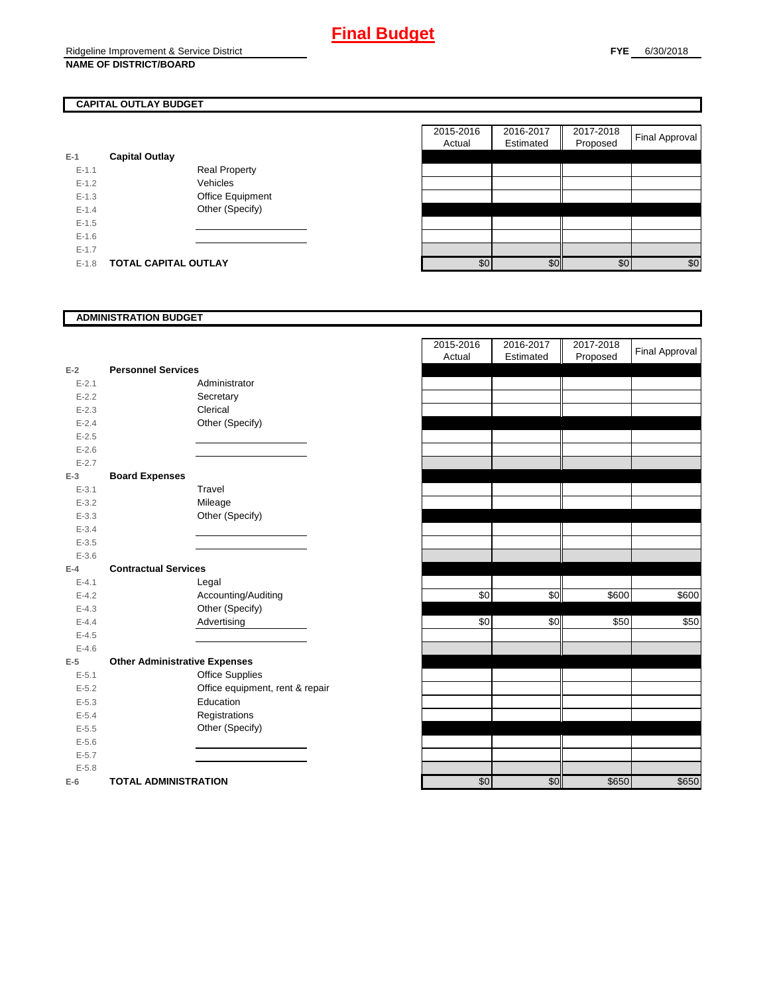# **CAPITAL OUTLAY BUDGET**

| $E-1$     | <b>Capital Outlay</b> |                         |
|-----------|-----------------------|-------------------------|
| $E - 1.1$ |                       | <b>Real Property</b>    |
| $F-12$    |                       | Vehicles                |
| $F-1.3$   |                       | <b>Office Equipment</b> |
| $F-14$    |                       | Other (Specify)         |
| $F-1.5$   |                       |                         |
| $F-16$    |                       |                         |
| $F-17$    |                       |                         |
| $F-1.8$   | TOTAL CAPITAL OUTLAY  |                         |

|           |                             |                      | 2015-2016 | 2016-2017 | 2017-2018 | <b>Final Approval</b> |
|-----------|-----------------------------|----------------------|-----------|-----------|-----------|-----------------------|
|           |                             |                      | Actual    | Estimated | Proposed  |                       |
|           | <b>Capital Outlay</b>       |                      |           |           |           |                       |
| $E-1.1$   |                             | <b>Real Property</b> |           |           |           |                       |
| $E-1.2$   |                             | Vehicles             |           |           |           |                       |
| $E-1.3$   |                             | Office Equipment     |           |           |           |                       |
| $E - 1.4$ |                             | Other (Specify)      |           |           |           |                       |
| $E-1.5$   |                             |                      |           |           |           |                       |
| $E-1.6$   |                             |                      |           |           |           |                       |
| $E - 1.7$ |                             |                      |           |           |           |                       |
| $E-1.8$   | <b>TOTAL CAPITAL OUTLAY</b> |                      | \$0       | \$0       | \$0       | \$0                   |
|           |                             |                      |           |           |           |                       |

## **ADMINISTRATION BUDGET**

| $E-2$     | <b>Personnel Services</b>            |                                 |
|-----------|--------------------------------------|---------------------------------|
| $E - 2.1$ |                                      | Administrator                   |
| $E - 2.2$ |                                      | Secretary                       |
| $E - 2.3$ |                                      | Clerical                        |
| $E - 2.4$ |                                      | Other (Specify)                 |
| $E - 2.5$ |                                      |                                 |
| $E - 2.6$ |                                      |                                 |
| $E - 2.7$ |                                      |                                 |
| $E-3$     | <b>Board Expenses</b>                |                                 |
| $E - 3.1$ |                                      | Travel                          |
| $E - 3.2$ |                                      | Mileage                         |
| $E - 3.3$ |                                      | Other (Specify)                 |
| $E - 3.4$ |                                      |                                 |
| $E - 3.5$ |                                      |                                 |
| $E - 3.6$ |                                      |                                 |
| $E-4$     | <b>Contractual Services</b>          |                                 |
| $E - 4.1$ |                                      | Legal                           |
| $E - 4.2$ |                                      | Accounting/Auditing             |
| $E - 4.3$ |                                      | Other (Specify)                 |
| $E - 4.4$ |                                      | Advertising                     |
| $E - 4.5$ |                                      |                                 |
| $E - 4.6$ |                                      |                                 |
| $E-5$     | <b>Other Administrative Expenses</b> |                                 |
| $E - 5.1$ |                                      | <b>Office Supplies</b>          |
| $E - 5.2$ |                                      | Office equipment, rent & repair |
| $E - 5.3$ |                                      | Education                       |
| $E - 5.4$ |                                      | Registrations                   |
| $E - 5.5$ |                                      | Other (Specify)                 |
| $E - 5.6$ |                                      |                                 |
| $E - 5.7$ |                                      |                                 |
| $E - 5.8$ |                                      |                                 |
| $E-6$     | <b>TOTAL ADMINISTRATION</b>          |                                 |

|           |                                      |                                 | 2015-2016<br>Actual | 2016-2017<br>Estimated | 2017-2018<br>Proposed | <b>Final Approval</b> |
|-----------|--------------------------------------|---------------------------------|---------------------|------------------------|-----------------------|-----------------------|
| $E-2$     | <b>Personnel Services</b>            |                                 |                     |                        |                       |                       |
| $E - 2.1$ | Administrator                        |                                 |                     |                        |                       |                       |
| $E - 2.2$ | Secretary                            |                                 |                     |                        |                       |                       |
| $E - 2.3$ | Clerical                             |                                 |                     |                        |                       |                       |
| $E - 2.4$ |                                      | Other (Specify)                 |                     |                        |                       |                       |
| $E - 2.5$ |                                      |                                 |                     |                        |                       |                       |
| $E - 2.6$ |                                      |                                 |                     |                        |                       |                       |
| $E - 2.7$ |                                      |                                 |                     |                        |                       |                       |
| $E-3$     | <b>Board Expenses</b>                |                                 |                     |                        |                       |                       |
| $E - 3.1$ | Travel                               |                                 |                     |                        |                       |                       |
| $E - 3.2$ | Mileage                              |                                 |                     |                        |                       |                       |
| $E - 3.3$ |                                      | Other (Specify)                 |                     |                        |                       |                       |
| $E - 3.4$ |                                      |                                 |                     |                        |                       |                       |
| $E - 3.5$ |                                      |                                 |                     |                        |                       |                       |
| $E - 3.6$ |                                      |                                 |                     |                        |                       |                       |
| $E-4$     | <b>Contractual Services</b>          |                                 |                     |                        |                       |                       |
| $E - 4.1$ | Legal                                |                                 |                     |                        |                       |                       |
| $E - 4.2$ |                                      | Accounting/Auditing             | \$0                 | \$0                    | \$600                 | $\frac{1}{600}$       |
| $E - 4.3$ |                                      | Other (Specify)                 |                     |                        |                       |                       |
| $E - 4.4$ | Advertising                          |                                 | \$0                 | \$0                    | \$50                  | \$50                  |
| $E-4.5$   |                                      |                                 |                     |                        |                       |                       |
| $E - 4.6$ |                                      |                                 |                     |                        |                       |                       |
| $E-5$     | <b>Other Administrative Expenses</b> |                                 |                     |                        |                       |                       |
| $E - 5.1$ |                                      | <b>Office Supplies</b>          |                     |                        |                       |                       |
| $E - 5.2$ |                                      | Office equipment, rent & repair |                     |                        |                       |                       |
| $E - 5.3$ | Education                            |                                 |                     |                        |                       |                       |
| $E - 5.4$ | Registrations                        |                                 |                     |                        |                       |                       |
| $E - 5.5$ |                                      | Other (Specify)                 |                     |                        |                       |                       |
| $E - 5.6$ |                                      |                                 |                     |                        |                       |                       |
| $E - 5.7$ |                                      |                                 |                     |                        |                       |                       |
| $E - 5.8$ |                                      |                                 |                     |                        |                       |                       |
| $E-6$     | <b>TOTAL ADMINISTRATION</b>          |                                 | \$0                 | \$0                    | \$650                 | \$650                 |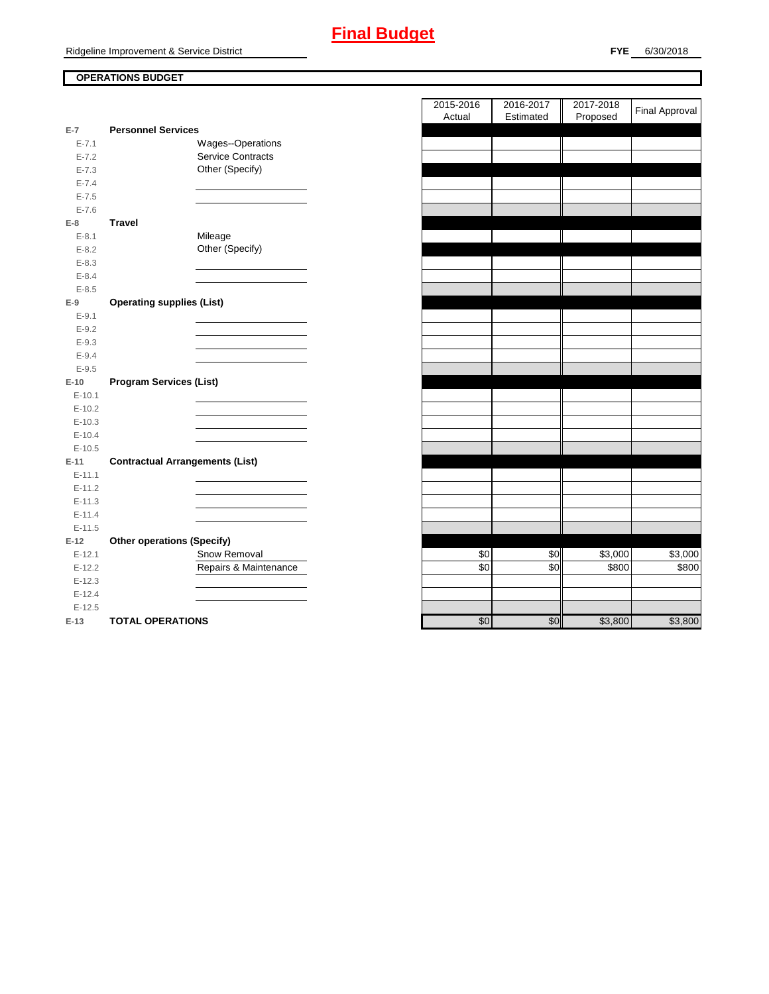## **OPERATIONS BUDGET**

| $E-7$      | <b>Personnel Services</b>              |
|------------|----------------------------------------|
| $E - 7.1$  | <b>Wages--Operations</b>               |
| $E - 7.2$  | <b>Service Contracts</b>               |
| $E - 7.3$  | Other (Specify)                        |
| $E - 7.4$  |                                        |
| $E - 7.5$  |                                        |
| $E - 7.6$  |                                        |
| E-8        | <b>Travel</b>                          |
| $E - 8.1$  | Mileage                                |
| $E - 8.2$  | Other (Specify)                        |
| $E - 8.3$  |                                        |
| $E - 8.4$  |                                        |
| $E - 8.5$  |                                        |
| $E-9$      | <b>Operating supplies (List)</b>       |
| $E-9.1$    |                                        |
| $E - 9.2$  |                                        |
| $E - 9.3$  |                                        |
| $E - 9.4$  |                                        |
| $E - 9.5$  |                                        |
|            |                                        |
| $E-10$     | <b>Program Services (List)</b>         |
| $E-10.1$   |                                        |
| $E-10.2$   |                                        |
| $E-10.3$   |                                        |
| $E-10.4$   |                                        |
| $E-10.5$   |                                        |
| $E-11$     | <b>Contractual Arrangements (List)</b> |
| $E - 11.1$ |                                        |
| $E-11.2$   |                                        |
| $E - 11.3$ |                                        |
| $E-11.4$   |                                        |
| $E-11.5$   |                                        |
| $E-12$     | <b>Other operations (Specify)</b>      |
| $E-12.1$   | Snow Removal                           |
| $E-12.2$   | Repairs & Maintenance                  |
| $E-12.3$   |                                        |
| $E-12.4$   |                                        |
| $E-12.5$   |                                        |

|                      |                                        | 2015-2016<br>2016-2017 | 2017-2018                      | <b>Final Approval</b> |
|----------------------|----------------------------------------|------------------------|--------------------------------|-----------------------|
| $\overline{7}$       | <b>Personnel Services</b>              | Actual<br>Estimated    | Proposed                       |                       |
| $E - 7.1$            | Wages--Operations                      |                        |                                |                       |
| $E - 7.2$            | Service Contracts                      |                        |                                |                       |
| $E - 7.3$            | Other (Specify)                        |                        |                                |                       |
| $E - 7.4$            |                                        |                        |                                |                       |
| $E - 7.5$            |                                        |                        |                                |                       |
| $E - 7.6$            |                                        |                        |                                |                       |
| 8                    | <b>Travel</b>                          |                        |                                |                       |
| $E - 8.1$            | Mileage                                |                        |                                |                       |
| $E-8.2$              | Other (Specify)                        |                        |                                |                       |
| $E - 8.3$            |                                        |                        |                                |                       |
| $E - 8.4$            |                                        |                        |                                |                       |
| $E - 8.5$            |                                        |                        |                                |                       |
| 9                    | <b>Operating supplies (List)</b>       |                        |                                |                       |
| $E-9.1$              |                                        |                        |                                |                       |
| $E-9.2$              |                                        |                        |                                |                       |
| $E - 9.3$            |                                        |                        |                                |                       |
| $E - 9.4$            |                                        |                        |                                |                       |
| $E - 9.5$            |                                        |                        |                                |                       |
| 10                   | <b>Program Services (List)</b>         |                        |                                |                       |
| $E-10.1$             |                                        |                        |                                |                       |
| $E-10.2$             |                                        |                        |                                |                       |
| $E-10.3$             |                                        |                        |                                |                       |
| $E-10.4$             |                                        |                        |                                |                       |
| $E-10.5$             |                                        |                        |                                |                       |
| $11 -$               | <b>Contractual Arrangements (List)</b> |                        |                                |                       |
| $E-11.1$             |                                        |                        |                                |                       |
| $E-11.2$             |                                        |                        |                                |                       |
| $E-11.3$             |                                        |                        |                                |                       |
| $E-11.4$             |                                        |                        |                                |                       |
| $E-11.5$             |                                        |                        |                                |                       |
| 12                   | <b>Other operations (Specify)</b>      |                        |                                |                       |
| $E-12.1$             | Snow Removal<br>Repairs & Maintenance  | \$0<br>\$0             | \$0<br>\$3,000<br>\$0<br>\$800 | \$3,000<br>\$800      |
| $E-12.2$<br>$E-12.3$ |                                        |                        |                                |                       |
| $E-12.4$             |                                        |                        |                                |                       |
| $E-12.5$             |                                        |                        |                                |                       |
| $-13$                | <b>TOTAL OPERATIONS</b>                | \$0                    | $\overline{30}$<br>\$3.800     | \$3.800               |
|                      |                                        |                        |                                |                       |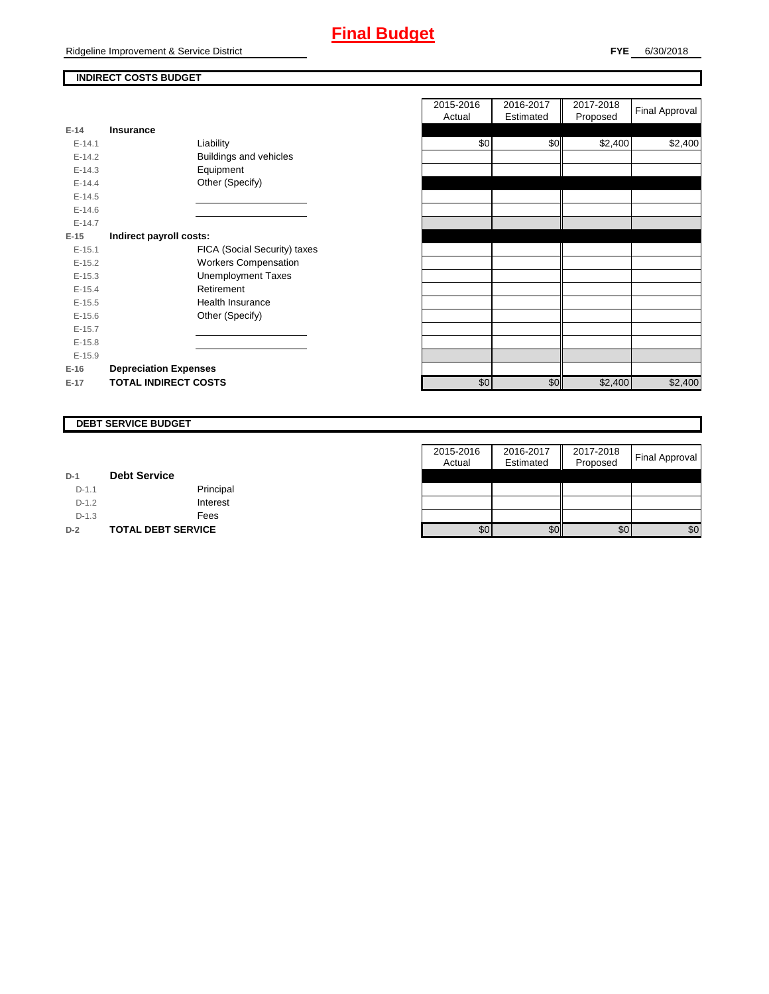Ridgeline Improvement & Service District

## **INDIRECT COSTS BUDGET**

| E-14       | Insurance                    |
|------------|------------------------------|
| $E - 14.1$ | Liability                    |
| $E-14.2$   | Buildings and vehicles       |
| $F-14.3$   | Equipment                    |
| $F-144$    | Other (Specify)              |
| $E-14.5$   |                              |
| $F-146$    |                              |
| $F-147$    |                              |
| $E-15$     | Indirect payroll costs:      |
| $E-15.1$   | FICA (Social Security) taxes |
| $E-15.2$   | <b>Workers Compensation</b>  |
| $F-15.3$   | <b>Unemployment Taxes</b>    |
| $E-15.4$   | Retirement                   |
| $E-15.5$   | Health Insurance             |
| $E - 15.6$ | Other (Specify)              |
| $E-15.7$   |                              |
| $E-15.8$   |                              |
| $E-15.9$   |                              |
| $E-16$     | <b>Depreciation Expenses</b> |
| $E-17$     | <b>TOTAL INDIRECT COSTS</b>  |

|          |                              | 2015-2016<br>Actual | 2016-2017<br>Estimated | 2017-2018<br>Proposed | <b>Final Approval</b> |
|----------|------------------------------|---------------------|------------------------|-----------------------|-----------------------|
| $E-14$   | <b>Insurance</b>             |                     |                        |                       |                       |
| $E-14.1$ | Liability                    | \$0                 | \$0                    | \$2,400               | \$2,400               |
| $E-14.2$ | Buildings and vehicles       |                     |                        |                       |                       |
| $E-14.3$ | Equipment                    |                     |                        |                       |                       |
| $E-14.4$ | Other (Specify)              |                     |                        |                       |                       |
| $E-14.5$ |                              |                     |                        |                       |                       |
| $E-14.6$ |                              |                     |                        |                       |                       |
| $E-14.7$ |                              |                     |                        |                       |                       |
| $E-15$   | Indirect payroll costs:      |                     |                        |                       |                       |
| $E-15.1$ | FICA (Social Security) taxes |                     |                        |                       |                       |
| $E-15.2$ | <b>Workers Compensation</b>  |                     |                        |                       |                       |
| $E-15.3$ | <b>Unemployment Taxes</b>    |                     |                        |                       |                       |
| $E-15.4$ | Retirement                   |                     |                        |                       |                       |
| $E-15.5$ | <b>Health Insurance</b>      |                     |                        |                       |                       |
| $E-15.6$ | Other (Specify)              |                     |                        |                       |                       |
| $E-15.7$ |                              |                     |                        |                       |                       |
| $E-15.8$ |                              |                     |                        |                       |                       |
| $E-15.9$ |                              |                     |                        |                       |                       |
| $E-16$   | <b>Depreciation Expenses</b> |                     |                        |                       |                       |
| $E-17$   | <b>TOTAL INDIRECT COSTS</b>  | \$0                 | \$0                    | \$2,400               | \$2,400               |
|          |                              |                     |                        |                       |                       |

#### **DEBT SERVICE BUDGET**

|         |                           | 2015-2016 | 2016-2017 | 2017-2018 |                |
|---------|---------------------------|-----------|-----------|-----------|----------------|
|         |                           | Actual    | Estimated | Proposed  | Final Approval |
| $D-1$   | <b>Debt Service</b>       |           |           |           |                |
| $D-1.1$ | Principal                 |           |           |           |                |
| $D-1.2$ | Interest                  |           |           |           |                |
| $D-1.3$ | Fees                      |           |           |           |                |
| $D-2$   | <b>TOTAL DEBT SERVICE</b> | \$0       | \$0       | \$0       | \$0            |